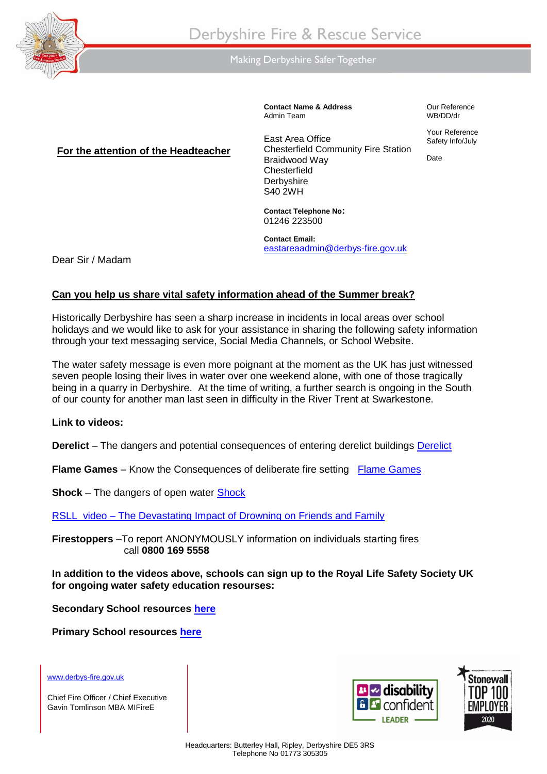

Making Derbyshire Safer Together

**Contact Name & Address** Admin Team

Our Reference WB/DD/dr

Your Reference Safety Info/July

Date

## **For the attention of the Headteacher**

East Area Office Chesterfield Community Fire Station Braidwood Way **Chesterfield Derbyshire** S40 2WH

**Contact Telephone No:**  01246 223500

**Contact Email:**  [eastareaadmin@derbys-fire.gov.uk](mailto:eastareaadmin@derbys-fire.gov.uk)

Dear Sir / Madam

## **Can you help us share vital safety information ahead of the Summer break?**

Historically Derbyshire has seen a sharp increase in incidents in local areas over school holidays and we would like to ask for your assistance in sharing the following safety information through your text messaging service, Social Media Channels, or School Website.

The water safety message is even more poignant at the moment as the UK has just witnessed seven people losing their lives in water over one weekend alone, with one of those tragically being in a quarry in Derbyshire. At the time of writing, a further search is ongoing in the South of our county for another man last seen in difficulty in the River Trent at Swarkestone.

## **Link to videos:**

**Derelict** – The dangers and potential consequences of entering derelict buildings [Derelict](https://www.youtube.com/watch?v=-i7guPZdVSw) 

**Flame Games** – Know the Consequences of deliberate fire setting [Flame Games](https://www.youtube.com/watch?v=o7wWPXVX3v8)

**Shock** – The dangers of open water [Shock](https://www.youtube.com/watch?v=27Kexl-BSzM)

RSLL video – [The Devastating Impact of Drowning on Friends and Family](https://www.rlss.org.uk/the-devastating-impact-of-drowning-on-friends-and-family)

**Firestoppers** –To report ANONYMOUSLY information on individuals starting fires call **0800 169 5558**

**In addition to the videos above, schools can sign up to the Royal Life Safety Society UK for ongoing water safety education resourses:**

**Secondary School resources [here](https://www.rlss.org.uk/forms/i-am-looking-for-water-safety-education-resources-for-a-secondary-school)**

**Primary School resources [here](https://www.rlss.org.uk/forms/i-am-looking-for-water-safety-education-resources-for-a-primary-school)**

[www.derbys-fire.gov.uk](http://www.derbys-fire.gov.uk/)

Chief Fire Officer / Chief Executive Gavin Tomlinson MBA MIFireE